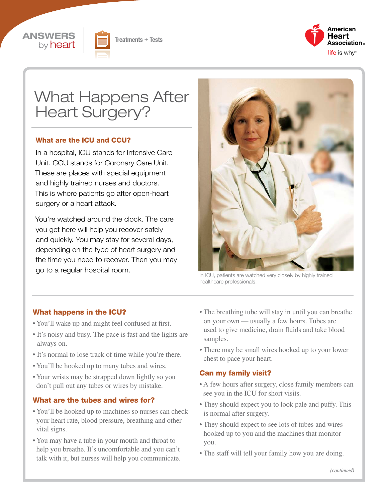





# What Happens After Heart Surgery?

#### What are the ICU and CCU?

In a hospital, ICU stands for Intensive Care Unit. CCU stands for Coronary Care Unit. These are places with special equipment and highly trained nurses and doctors. This is where patients go after open-heart surgery or a heart attack.

You're watched around the clock. The care you get here will help you recover safely and quickly. You may stay for several days, depending on the type of heart surgery and the time you need to recover. Then you may go to a regular hospital room.



In ICU, patients are watched very closely by highly trained healthcare professionals.

#### What happens in the ICU?

- You'll wake up and might feel confused at first.
- It's noisy and busy. The pace is fast and the lights are always on.
- It's normal to lose track of time while you're there.
- You'll be hooked up to many tubes and wires.
- Your wrists may be strapped down lightly so you don't pull out any tubes or wires by mistake.

#### What are the tubes and wires for?

- You'll be hooked up to machines so nurses can check your heart rate, blood pressure, breathing and other vital signs.
- You may have a tube in your mouth and throat to help you breathe. It's uncomfortable and you can't talk with it, but nurses will help you communicate.
- The breathing tube will stay in until you can breathe on your own — usually a few hours. Tubes are used to give medicine, drain fluids and take blood samples.
- There may be small wires hooked up to your lower chest to pace your heart.

#### Can my family visit?

- A few hours after surgery, close family members can see you in the ICU for short visits.
- They should expect you to look pale and puffy. This is normal after surgery.
- They should expect to see lots of tubes and wires hooked up to you and the machines that monitor you.
- The staff will tell your family how you are doing.